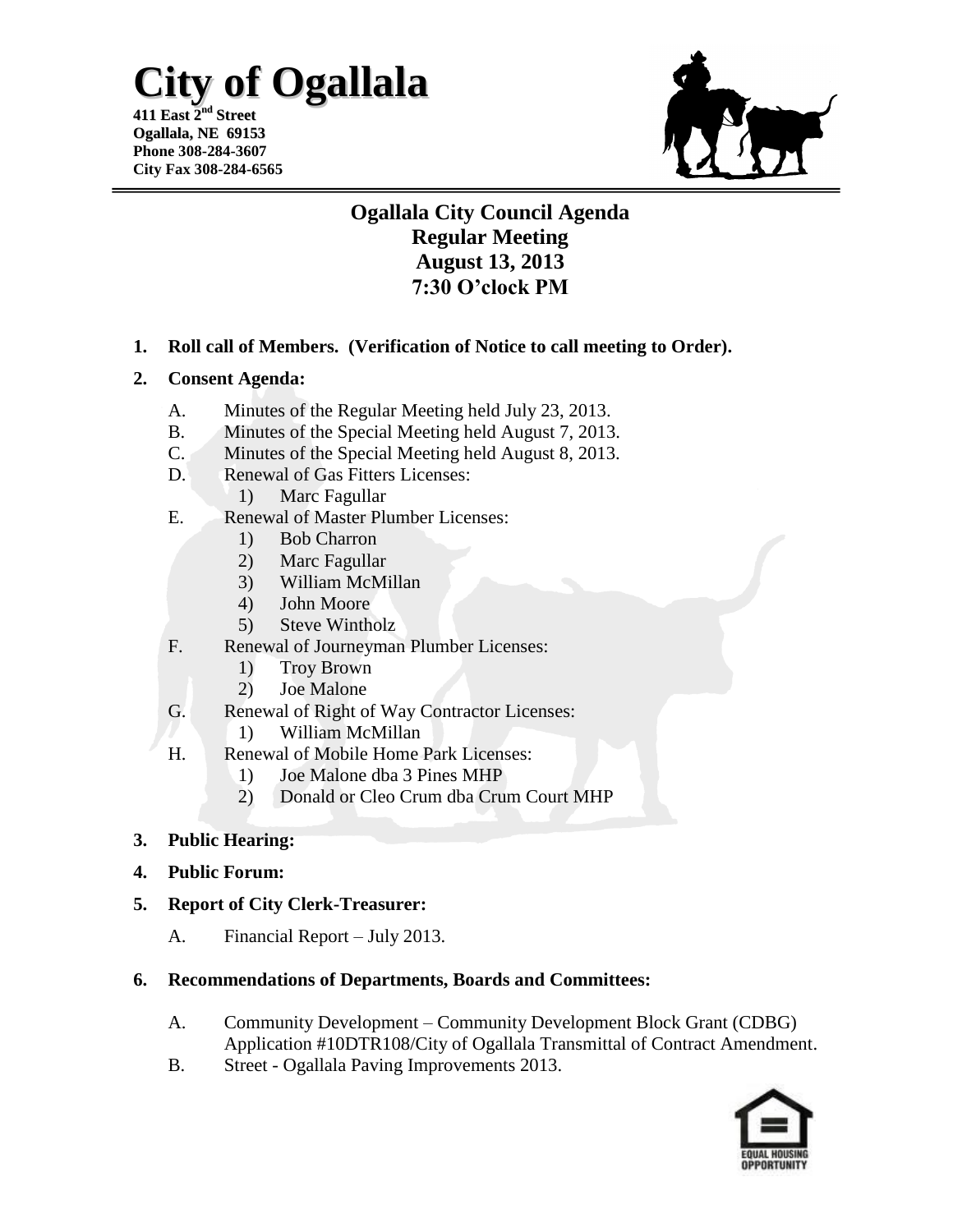## **City of Ogallala**

**411 East 2 nd Street Ogallala, NE 69153 Phone 308-284-3607 City Fax 308-284-6565**



## **Ogallala City Council Agenda Regular Meeting August 13, 2013 7:30 O'clock PM**

**1. Roll call of Members. (Verification of Notice to call meeting to Order).**

#### **2. Consent Agenda:**

- A. Minutes of the Regular Meeting held July 23, 2013.
- B. Minutes of the Special Meeting held August 7, 2013.
- C. Minutes of the Special Meeting held August 8, 2013.
- D. Renewal of Gas Fitters Licenses:
	- 1) Marc Fagullar
- E. Renewal of Master Plumber Licenses:
	- 1) Bob Charron
	- 2) Marc Fagullar
	- 3) William McMillan
	- 4) John Moore
	- 5) Steve Wintholz
- F. Renewal of Journeyman Plumber Licenses:
	- 1) Troy Brown
	- 2) Joe Malone
- G. Renewal of Right of Way Contractor Licenses:
	- 1) William McMillan
- H. Renewal of Mobile Home Park Licenses:
	- 1) Joe Malone dba 3 Pines MHP
	- 2) Donald or Cleo Crum dba Crum Court MHP

#### **3. Public Hearing:**

**4. Public Forum:**

#### **5. Report of City Clerk-Treasurer:**

A. Financial Report – July 2013.

#### **6. Recommendations of Departments, Boards and Committees:**

- A. Community Development Community Development Block Grant (CDBG) Application #10DTR108/City of Ogallala Transmittal of Contract Amendment.
- B. Street Ogallala Paving Improvements 2013.